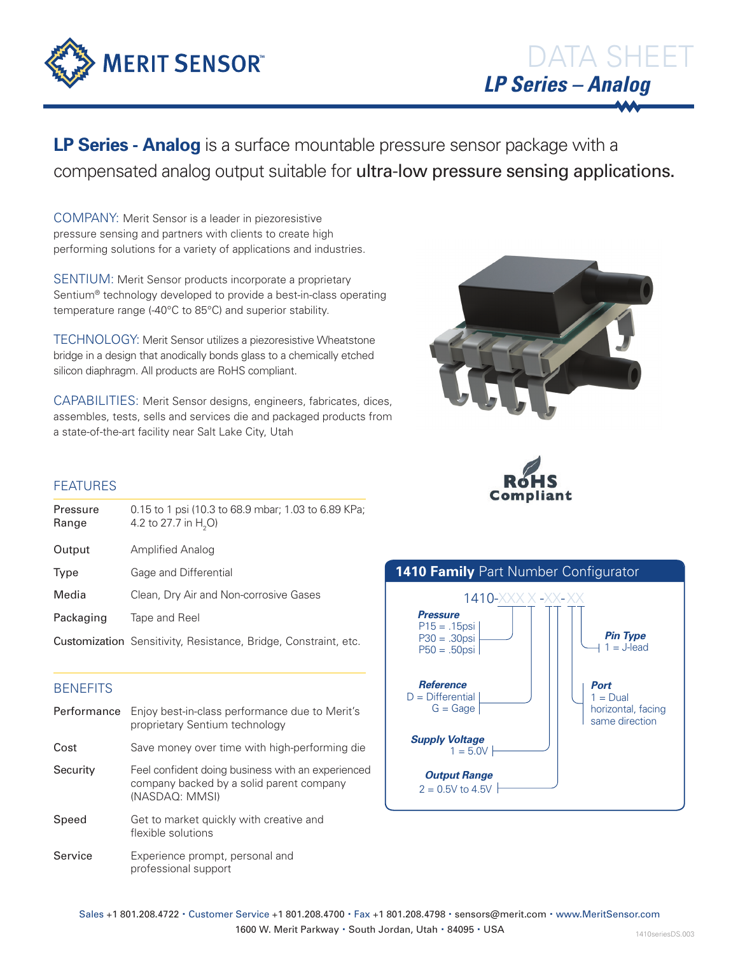

**LP Series - Analog** is a surface mountable pressure sensor package with a compensated analog output suitable for ultra-low pressure sensing applications.

COMPANY: Merit Sensor is a leader in piezoresistive pressure sensing and partners with clients to create high performing solutions for a variety of applications and industries.

SENTIUM: Merit Sensor products incorporate a proprietary Sentium® technology developed to provide a best-in-class operating temperature range (-40°C to 85°C) and superior stability.

TECHNOLOGY: Merit Sensor utilizes a piezoresistive Wheatstone bridge in a design that anodically bonds glass to a chemically etched silicon diaphragm. All products are RoHS compliant.

CAPABILITIES: Merit Sensor designs, engineers, fabricates, dices, assembles, tests, sells and services die and packaged products from a state-of-the-art facility near Salt Lake City, Utah





# FEATURES

| Pressure<br>Range | 0.15 to 1 psi (10.3 to 68.9 mbar; 1.03 to 6.89 KPa;<br>4.2 to 27.7 in H <sub>2</sub> O) |
|-------------------|-----------------------------------------------------------------------------------------|
| Output            | Amplified Analog                                                                        |
| Type              | Gage and Differential                                                                   |
| Media             | Clean, Dry Air and Non-corrosive Gases                                                  |
| Packaging         | Tape and Reel                                                                           |
|                   | Customization Sensitivity, Resistance, Bridge, Constraint, etc.                         |

# **BENEFITS**

Performance Enjoy best-in-class performance due to Merit's proprietary Sentium technology Cost Save money over time with high-performing die Security Feel confident doing business with an experienced company backed by a solid parent company (NASDAQ: MMSI) Speed Get to market quickly with creative and flexible solutions Service Experience prompt, personal and professional support



Sales +1 801.208.4722 · Customer Service +1 801.208.4700 · Fax +1 801.208.4798 · sensors@merit.com · www.MeritSensor.com 1600 W. Merit Parkway · South Jordan, Utah · 84095 · USA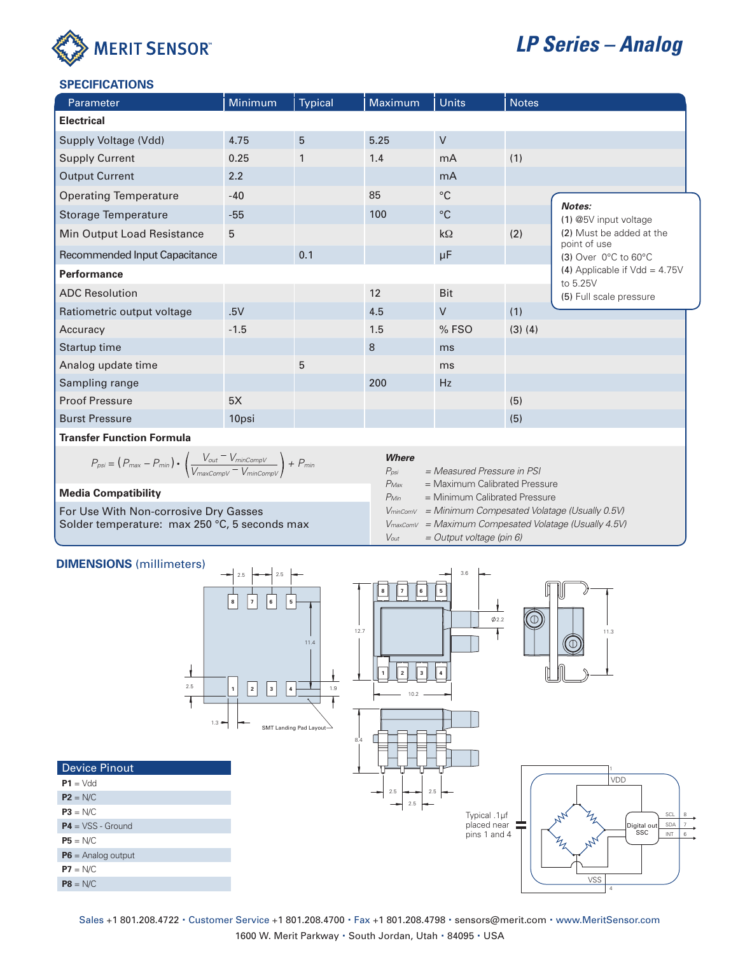

# *LP Series – Analog*

### **SPECIFICATIONS**

| Parameter                        | Minimum | <b>Typical</b> | Maximum | <b>Units</b>    | <b>Notes</b> |                                                                             |  |
|----------------------------------|---------|----------------|---------|-----------------|--------------|-----------------------------------------------------------------------------|--|
| <b>Electrical</b>                |         |                |         |                 |              |                                                                             |  |
| Supply Voltage (Vdd)             | 4.75    | 5              | 5.25    | $\mathsf{V}$    |              |                                                                             |  |
| <b>Supply Current</b>            | 0.25    | $\mathbf{1}$   | 1.4     | mA              | (1)          |                                                                             |  |
| <b>Output Current</b>            | 2.2     |                |         | m <sub>A</sub>  |              |                                                                             |  |
| <b>Operating Temperature</b>     | $-40$   |                | 85      | $\rm ^{\circ}C$ |              | Notes:<br>(1) @5V input voltage<br>(2) Must be added at the<br>point of use |  |
| <b>Storage Temperature</b>       | $-55$   |                | 100     | $^{\circ}C$     |              |                                                                             |  |
| Min Output Load Resistance       | 5       |                |         | $k\Omega$       | (2)          |                                                                             |  |
| Recommended Input Capacitance    |         | 0.1            |         | μF              |              | $(3)$ Over 0°C to 60°C                                                      |  |
| <b>Performance</b>               |         |                |         |                 |              | (4) Applicable if $Vdd = 4.75V$                                             |  |
| <b>ADC Resolution</b>            |         |                | 12      | <b>Bit</b>      |              | to 5.25V<br>(5) Full scale pressure                                         |  |
| Ratiometric output voltage       | .5V     |                | 4.5     | $\vee$          | (1)          |                                                                             |  |
| Accuracy                         | $-1.5$  |                | 1.5     | %FSO            | $(3)$ $(4)$  |                                                                             |  |
| Startup time                     |         |                | 8       | ms              |              |                                                                             |  |
| Analog update time               |         | 5              |         | ms              |              |                                                                             |  |
| Sampling range                   |         |                | 200     | Hz              |              |                                                                             |  |
| <b>Proof Pressure</b>            | 5X      |                |         |                 | (5)          |                                                                             |  |
| <b>Burst Pressure</b>            | 10psi   |                |         |                 | (5)          |                                                                             |  |
| <b>Trancfor Eunction Formula</b> |         |                |         |                 |              |                                                                             |  |

**Transfer Function Formula**

$$
P_{psi} = (P_{max} - P_{min}) \cdot \left(\frac{V_{out} - V_{minCompV}}{V_{maxCompV} - V_{minCompV}}\right) + P_{min}
$$

### **Media Compatibility**

For Use With Non-corrosive Dry Gasses Solder temperature: max 250 °C, 5 seconds max

| <b>Where</b>     |                                                                          |
|------------------|--------------------------------------------------------------------------|
| P <sub>psi</sub> | = Measured Pressure in PSI                                               |
| $P_{\text{Max}}$ | = Maximum Calibrated Pressure                                            |
| $P$ Min          | = Minimum Calibrated Pressure                                            |
|                  | $V_{\text{minComV}} = \text{Minimum}$ Compesated Volatage (Usually 0.5V) |
|                  | $V_{\text{maxComV}} =$ Maximum Compesated Volatage (Usually 4.5V)        |
| Vout             | $=$ Output voltage (pin 6)                                               |

#### **DIMENSIONS** (millimeters) 2.5 3.6 2.5 **8 7 6 5 8 7 6 5**  $\phi$ <sub>2.2</sub> 12.7 **1 11.3 12.7 11.3 11.3 11.3 11.3** 11.4 ⊥ **1 2 3 4** 2.5 **1**  $\begin{vmatrix} 2 & 3 \end{vmatrix}$ 1.9 10.2 ₹ 1.3 SMT Landing Pad Layou 8.4 Device Pinout 1 VDD **P1** = Vdd 2.5  $\rightarrow$  2.5 **P2** = N/C 2.5 **P3** = N/C Typical .1µf SCL 8 SDA **P4** = VSS - Ground placed near Digital out pins 1 and 4 **SSC**  $\overline{\text{INT}}$ **P5** = N/C **P6** = Analog output  $P7 = N/C$ VSS **P8** = N/C 4